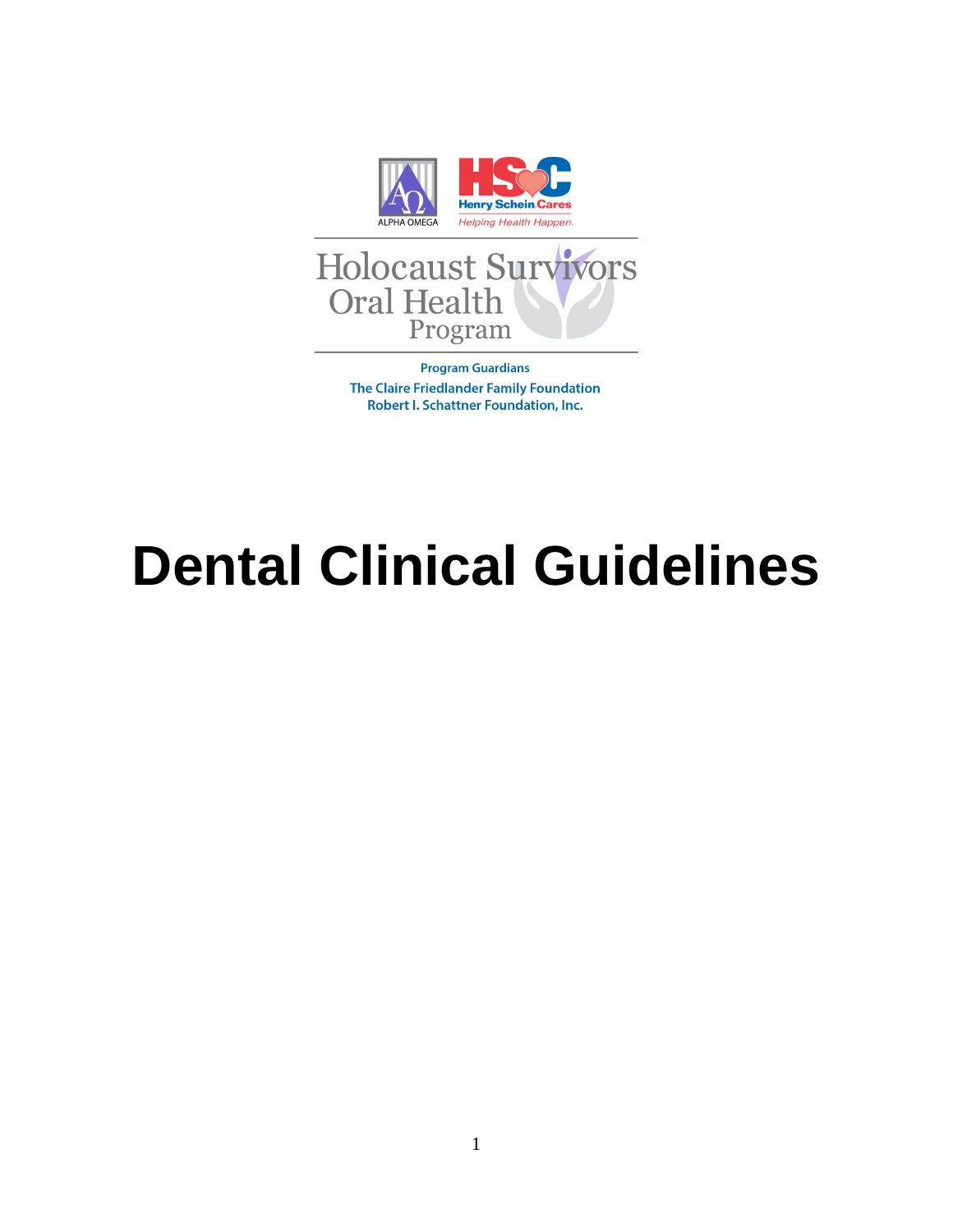

**Program Guardians** The Claire Friedlander Family Foundation Robert I. Schattner Foundation, Inc.

# **Dental Clinical Guidelines**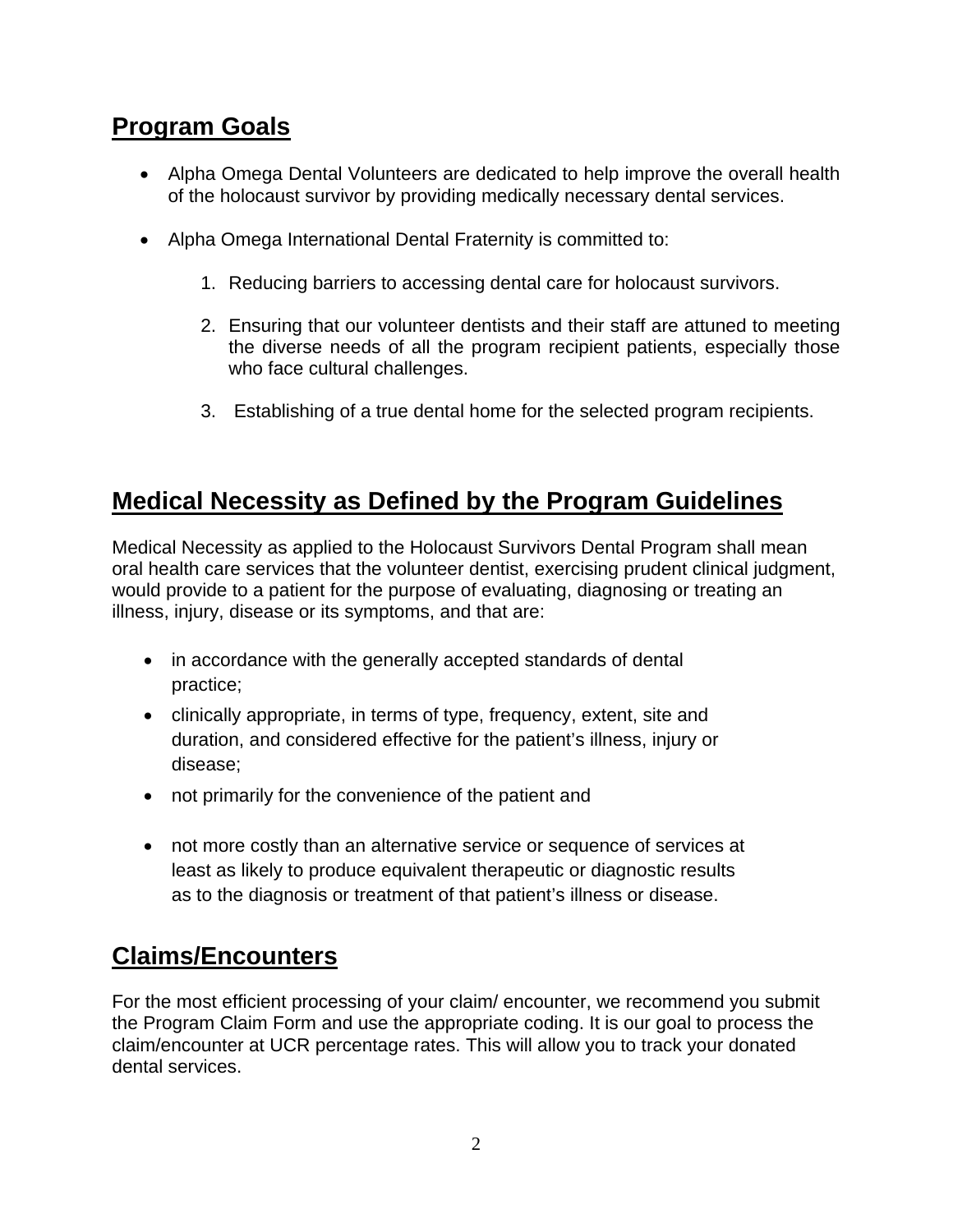## **Program Goals**

- Alpha Omega Dental Volunteers are dedicated to help improve the overall health of the holocaust survivor by providing medically necessary dental services.
- Alpha Omega International Dental Fraternity is committed to:
	- 1. Reducing barriers to accessing dental care for holocaust survivors.
	- 2. Ensuring that our volunteer dentists and their staff are attuned to meeting the diverse needs of all the program recipient patients, especially those who face cultural challenges.
	- 3. Establishing of a true dental home for the selected program recipients.

## **Medical Necessity as Defined by the Program Guidelines**

Medical Necessity as applied to the Holocaust Survivors Dental Program shall mean oral health care services that the volunteer dentist, exercising prudent clinical judgment, would provide to a patient for the purpose of evaluating, diagnosing or treating an illness, injury, disease or its symptoms, and that are:

- in accordance with the generally accepted standards of dental practice;
- clinically appropriate, in terms of type, frequency, extent, site and duration, and considered effective for the patient's illness, injury or disease;
- not primarily for the convenience of the patient and
- not more costly than an alternative service or sequence of services at least as likely to produce equivalent therapeutic or diagnostic results as to the diagnosis or treatment of that patient's illness or disease.

## **Claims/Encounters**

For the most efficient processing of your claim/ encounter, we recommend you submit the Program Claim Form and use the appropriate coding. It is our goal to process the claim/encounter at UCR percentage rates. This will allow you to track your donated dental services.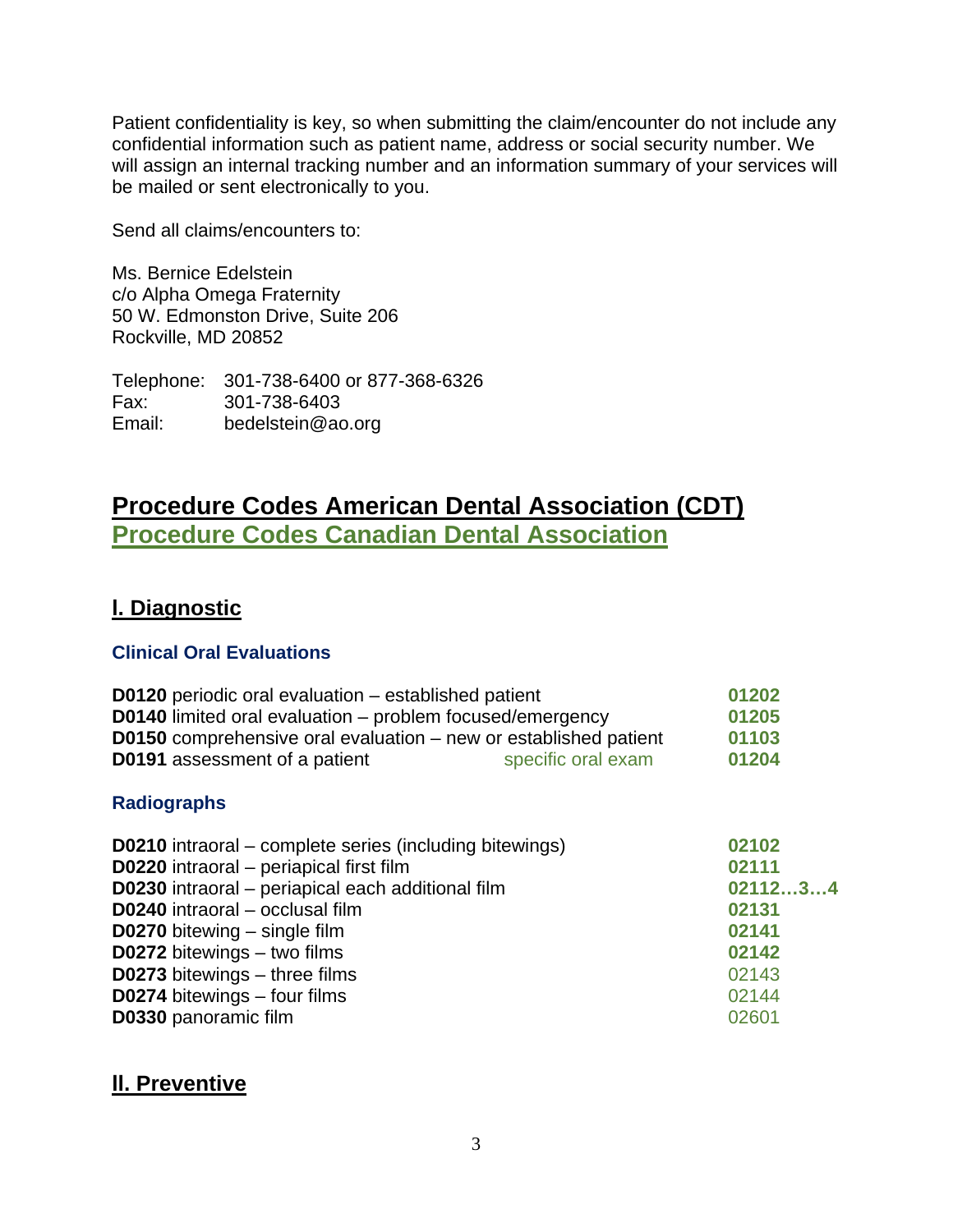Patient confidentiality is key, so when submitting the claim/encounter do not include any confidential information such as patient name, address or social security number. We will assign an internal tracking number and an information summary of your services will be mailed or sent electronically to you.

Send all claims/encounters to:

Ms. Bernice Edelstein c/o Alpha Omega Fraternity 50 W. Edmonston Drive, Suite 206 Rockville, MD 20852

Telephone: 301-738-6400 or 877-368-6326 Fax: 301-738-6403 Email: bedelstein@ao.org

## **Procedure Codes American Dental Association (CDT) Procedure Codes Canadian Dental Association**

#### **l. Diagnostic**

#### **Clinical Oral Evaluations**

| 01202   |
|---------|
| 01205   |
| 01103   |
| 01204   |
|         |
| 02102   |
| 02111   |
| 0211234 |
| 02131   |
| 02141   |
| 02142   |
| 02143   |
| 02144   |
| 02601   |
|         |

### **ll. Preventive**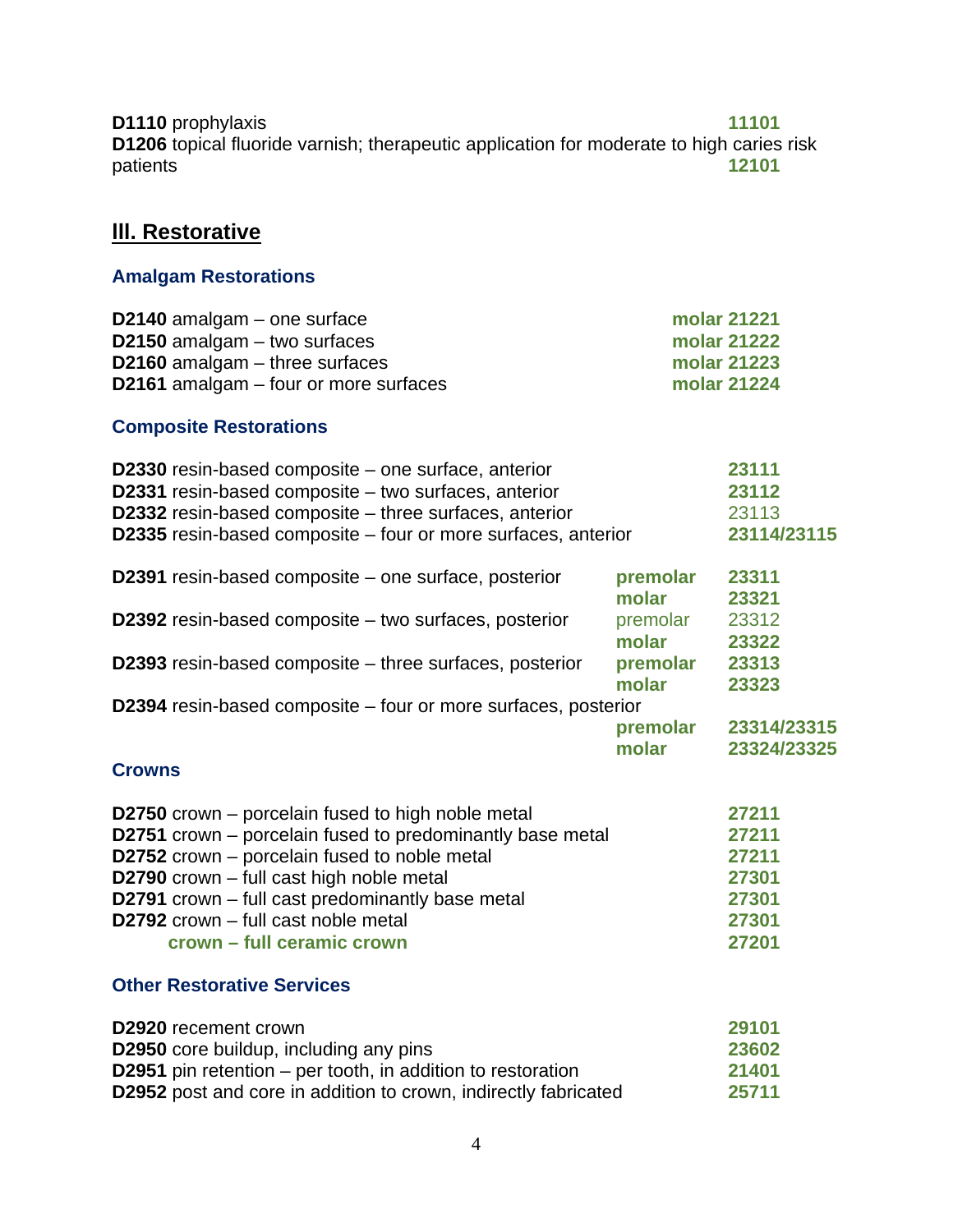**D1110** prophylaxis **11101 D1206** topical fluoride varnish; therapeutic application for moderate to high caries risk patients **12101** 

## **III. Restorative**

#### **Amalgam Restorations**

| D2140 amalgam $-$ one surface                | molar 21221 |
|----------------------------------------------|-------------|
| D2150 amalgam $-$ two surfaces               | molar 21222 |
| D2160 amalgam $-$ three surfaces             | molar 21223 |
| <b>D2161</b> amalgam – four or more surfaces | molar 21224 |

#### **Composite Restorations**

| D2330 resin-based composite – one surface, anterior<br>D2331 resin-based composite - two surfaces, anterior<br>D2332 resin-based composite - three surfaces, anterior |                   | 23111<br>23112<br>23113    |
|-----------------------------------------------------------------------------------------------------------------------------------------------------------------------|-------------------|----------------------------|
| D2335 resin-based composite – four or more surfaces, anterior                                                                                                         |                   | 23114/23115                |
| D2391 resin-based composite – one surface, posterior                                                                                                                  | premolar<br>molar | 23311<br>23321             |
| D2392 resin-based composite – two surfaces, posterior                                                                                                                 | premolar<br>molar | 23312<br>23322             |
| D2393 resin-based composite – three surfaces, posterior                                                                                                               | premolar<br>molar | 23313<br>23323             |
| D2394 resin-based composite – four or more surfaces, posterior                                                                                                        |                   |                            |
|                                                                                                                                                                       | premolar<br>molar | 23314/23315<br>23324/23325 |
| <b>Crowns</b>                                                                                                                                                         |                   |                            |
| <b>D2750</b> crown – porcelain fused to high noble metal                                                                                                              |                   | 27211                      |
| D2751 crown – porcelain fused to predominantly base metal                                                                                                             |                   | 27211                      |
| D2752 crown – porcelain fused to noble metal                                                                                                                          |                   | 27211                      |

| <b>D2790</b> crown – full cast high noble metal         | 27301 |
|---------------------------------------------------------|-------|
| <b>D2791</b> crown – full cast predominantly base metal | 27301 |
| <b>D2792</b> crown $-$ full cast noble metal            | 27301 |
| crown – full ceramic crown                              | 27201 |

#### **Other Restorative Services**

| <b>D2920</b> recement crown                                            | 29101 |
|------------------------------------------------------------------------|-------|
| <b>D2950</b> core buildup, including any pins                          | 23602 |
| <b>D2951</b> pin retention – per tooth, in addition to restoration     | 21401 |
| <b>D2952</b> post and core in addition to crown, indirectly fabricated | 25711 |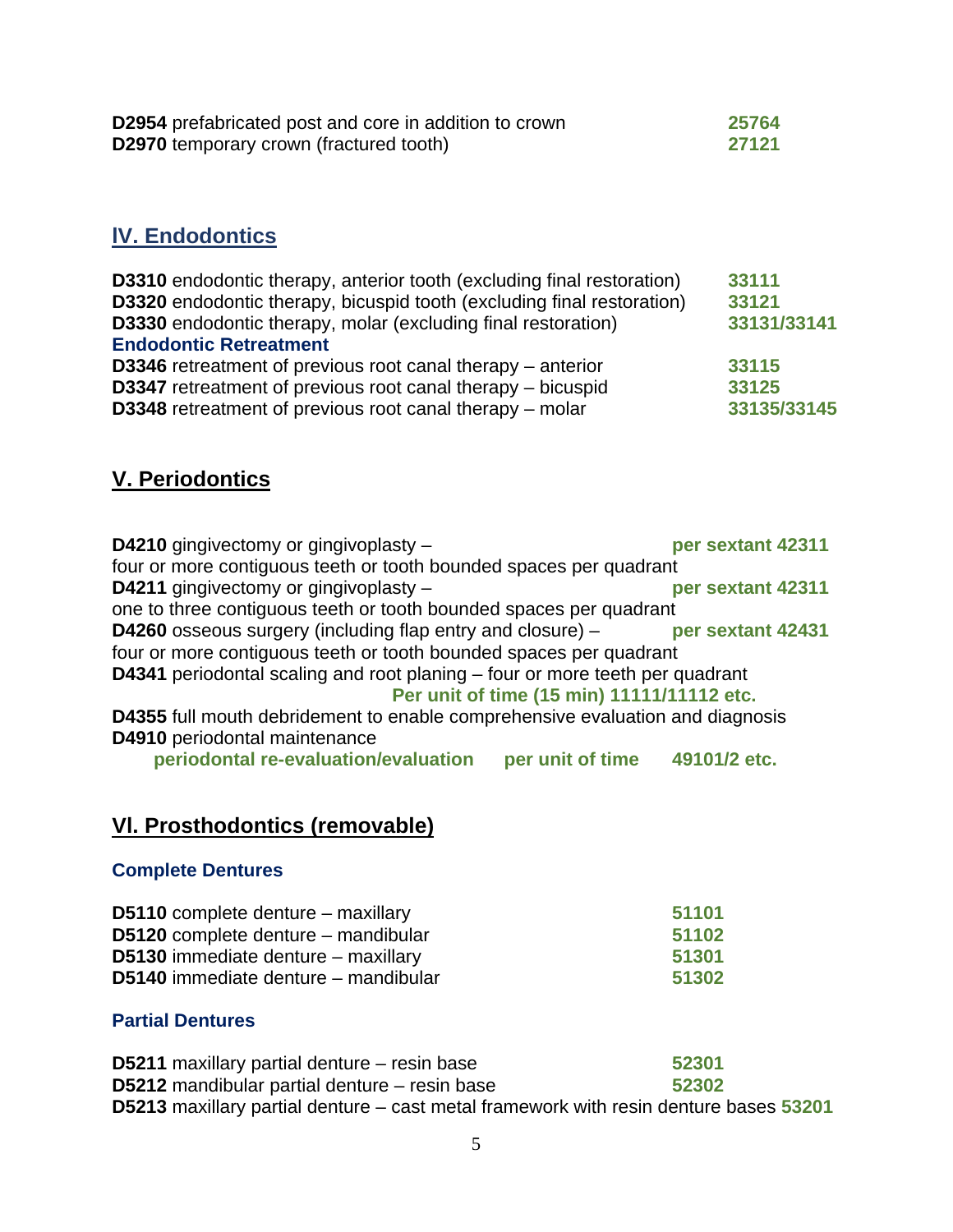| <b>D2954</b> prefabricated post and core in addition to crown | 25764 |
|---------------------------------------------------------------|-------|
| <b>D2970</b> temporary crown (fractured tooth)                | 27121 |

#### **lV. Endodontics**

| <b>D3310</b> endodontic therapy, anterior tooth (excluding final restoration) | 33111       |
|-------------------------------------------------------------------------------|-------------|
| D3320 endodontic therapy, bicuspid tooth (excluding final restoration)        | 33121       |
| D3330 endodontic therapy, molar (excluding final restoration)                 | 33131/33141 |
| <b>Endodontic Retreatment</b>                                                 |             |
| D3346 retreatment of previous root canal therapy - anterior                   | 33115       |
| D3347 retreatment of previous root canal therapy – bicuspid                   | 33125       |
| D3348 retreatment of previous root canal therapy - molar                      | 33135/33145 |

#### **V. Periodontics**

**D4210** gingivectomy or gingivoplasty – **per sextant 42311** four or more contiguous teeth or tooth bounded spaces per quadrant **D4211** gingivectomy or gingivoplasty – **per sextant 42311** one to three contiguous teeth or tooth bounded spaces per quadrant **D4260** osseous surgery (including flap entry and closure) – **per sextant 42431** four or more contiguous teeth or tooth bounded spaces per quadrant **D4341** periodontal scaling and root planing – four or more teeth per quadrant **Per unit of time (15 min) 11111/11112 etc. D4355** full mouth debridement to enable comprehensive evaluation and diagnosis **D4910** periodontal maintenance

 **periodontal re-evaluation/evaluation per unit of time 49101/2 etc.** 

#### **Vl. Prosthodontics (removable)**

#### **Complete Dentures**

| 51101 |
|-------|
| 51102 |
| 51301 |
| 51302 |
|       |

#### **Partial Dentures**

**D5211** maxillary partial denture – resin base **52301 D5212** mandibular partial denture – resin base **52302 D5213** maxillary partial denture – cast metal framework with resin denture bases **53201**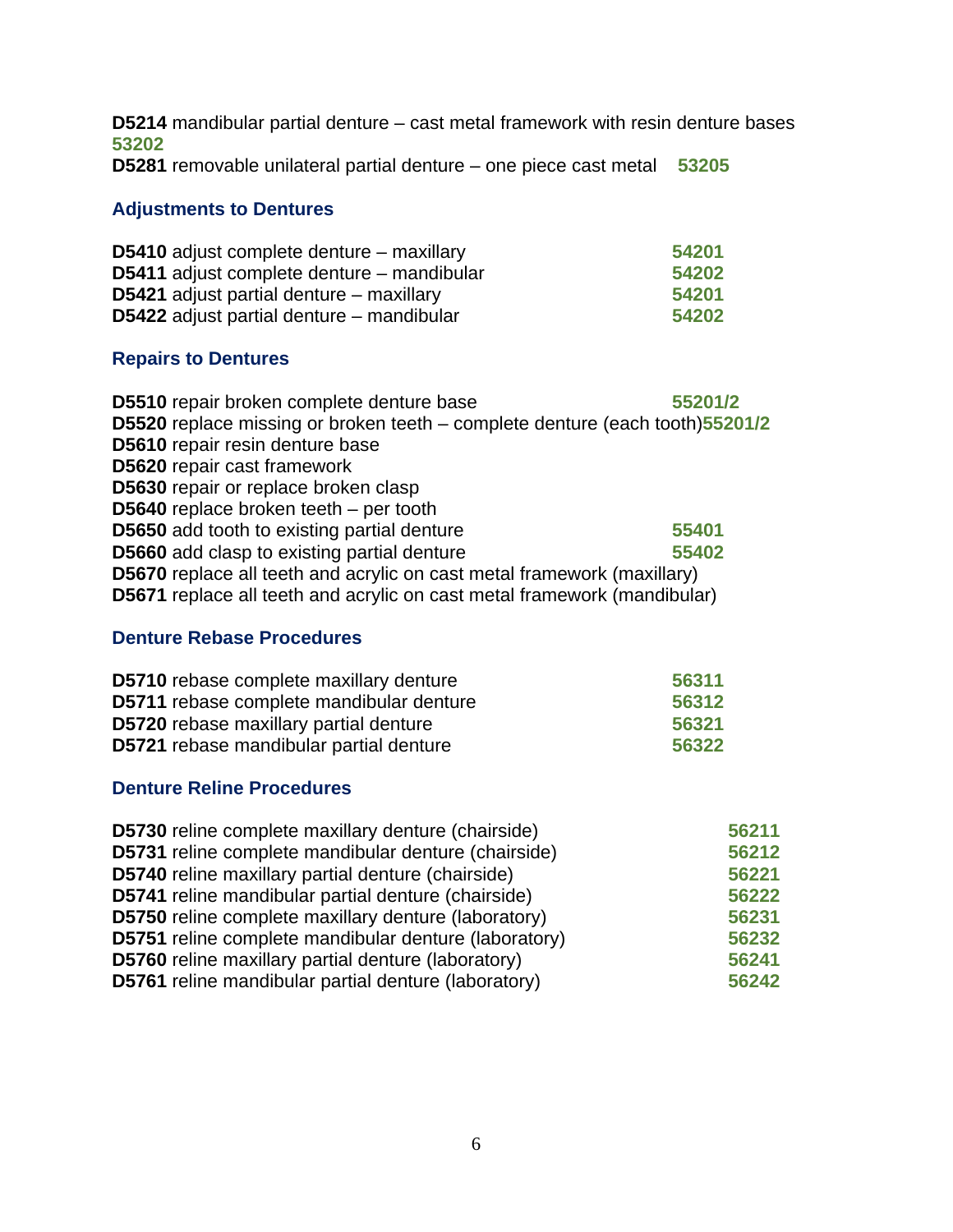**D5214** mandibular partial denture – cast metal framework with resin denture bases **53202**

**D5281** removable unilateral partial denture – one piece cast metal **53205**

#### **Adjustments to Dentures**

| <b>D5410</b> adjust complete denture – maxillary | 54201 |
|--------------------------------------------------|-------|
| D5411 adjust complete denture – mandibular       | 54202 |
| <b>D5421</b> adjust partial denture – maxillary  | 54201 |
| <b>D5422</b> adjust partial denture – mandibular | 54202 |

#### **Repairs to Dentures**

| D5510 repair broken complete denture base                                      | 55201/2 |
|--------------------------------------------------------------------------------|---------|
| D5520 replace missing or broken teeth – complete denture (each tooth)55201/2   |         |
| D5610 repair resin denture base                                                |         |
| D5620 repair cast framework                                                    |         |
| D5630 repair or replace broken clasp                                           |         |
| D5640 replace broken teeth $-$ per tooth                                       |         |
| <b>D5650</b> add tooth to existing partial denture                             | 55401   |
| <b>D5660</b> add clasp to existing partial denture                             | 55402   |
| <b>D5670</b> replace all teeth and acrylic on cast metal framework (maxillary) |         |
| D5671 replace all teeth and acrylic on cast metal framework (mandibular)       |         |

#### **Denture Rebase Procedures**

| <b>D5710</b> rebase complete maxillary denture  | 56311 |
|-------------------------------------------------|-------|
| <b>D5711</b> rebase complete mandibular denture | 56312 |
| <b>D5720</b> rebase maxillary partial denture   | 56321 |
| <b>D5721</b> rebase mandibular partial denture  | 56322 |

#### **Denture Reline Procedures**

| <b>D5730</b> reline complete maxillary denture (chairside)  | 56211 |
|-------------------------------------------------------------|-------|
| D5731 reline complete mandibular denture (chairside)        | 56212 |
| <b>D5740</b> reline maxillary partial denture (chairside)   | 56221 |
| D5741 reline mandibular partial denture (chairside)         | 56222 |
| <b>D5750</b> reline complete maxillary denture (laboratory) | 56231 |
| D5751 reline complete mandibular denture (laboratory)       | 56232 |
| D5760 reline maxillary partial denture (laboratory)         | 56241 |
| <b>D5761</b> reline mandibular partial denture (laboratory) | 56242 |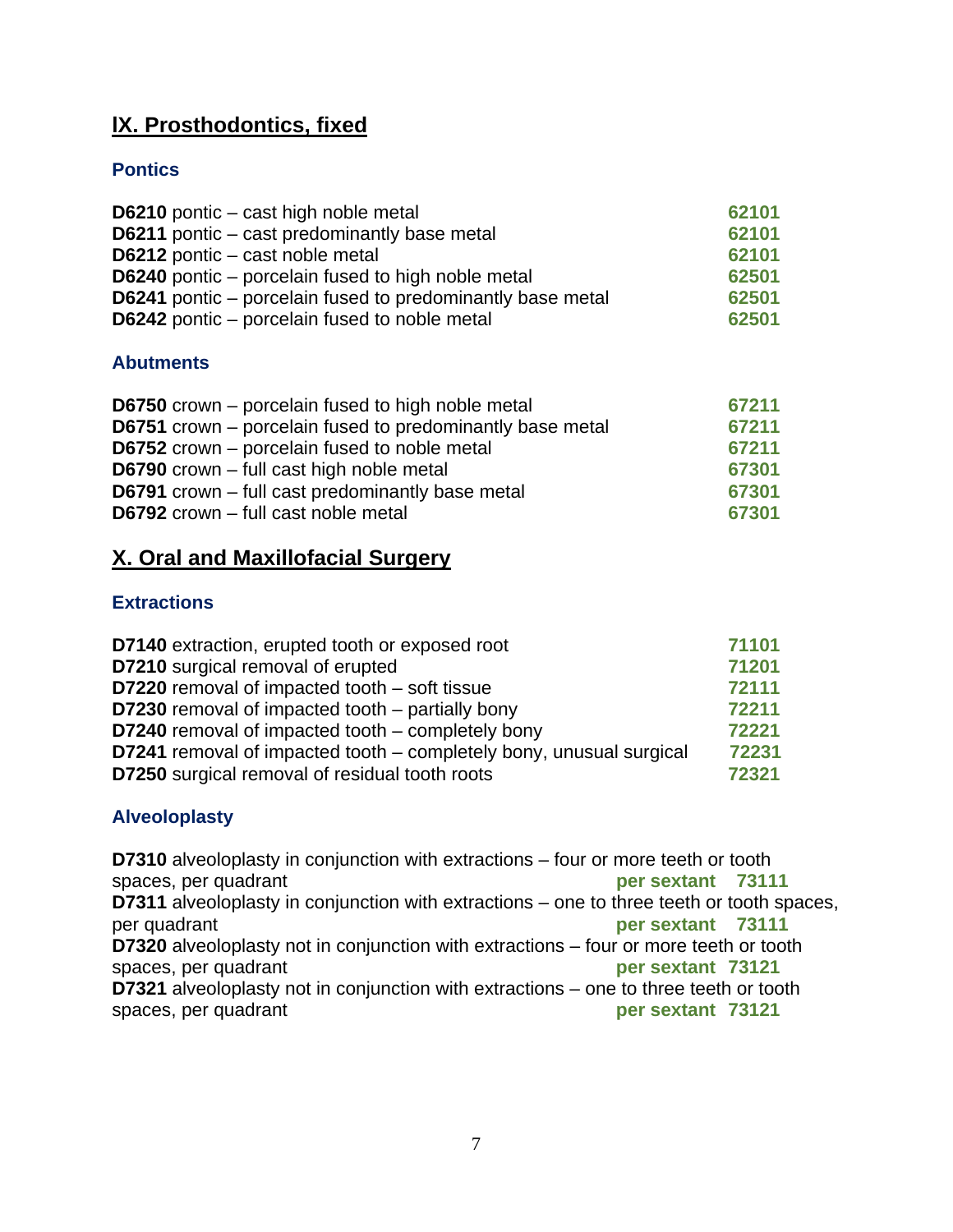## **lX. Prosthodontics, fixed**

#### **Pontics**

| <b>D6210</b> pontic – cast high noble metal                       | 62101 |
|-------------------------------------------------------------------|-------|
| D6211 pontic – cast predominantly base metal                      | 62101 |
| D6212 pontic – cast noble metal                                   | 62101 |
| <b>D6240</b> pontic – porcelain fused to high noble metal         | 62501 |
| <b>D6241</b> pontic – porcelain fused to predominantly base metal | 62501 |
| <b>D6242</b> pontic – porcelain fused to noble metal              | 62501 |

#### **Abutments**

| <b>D6750</b> crown – porcelain fused to high noble metal  | 67211 |
|-----------------------------------------------------------|-------|
| D6751 crown – porcelain fused to predominantly base metal | 67211 |
| <b>D6752</b> crown – porcelain fused to noble metal       | 67211 |
| <b>D6790</b> crown – full cast high noble metal           | 67301 |
| D6791 crown - full cast predominantly base metal          | 67301 |
| D6792 crown - full cast noble metal                       | 67301 |

## **X. Oral and Maxillofacial Surgery**

#### **Extractions**

| <b>D7140</b> extraction, erupted tooth or exposed root              | 71101 |
|---------------------------------------------------------------------|-------|
| <b>D7210</b> surgical removal of erupted                            | 71201 |
| <b>D7220</b> removal of impacted tooth – soft tissue                | 72111 |
| <b>D7230</b> removal of impacted tooth – partially bony             | 72211 |
| <b>D7240</b> removal of impacted tooth – completely bony            | 72221 |
| D7241 removal of impacted tooth – completely bony, unusual surgical | 72231 |
| <b>D7250</b> surgical removal of residual tooth roots               | 72321 |

#### **Alveoloplasty**

**D7310** alveoloplasty in conjunction with extractions – four or more teeth or tooth spaces, per quadrant **per sextant 73111 D7311** alveoloplasty in conjunction with extractions – one to three teeth or tooth spaces, per quadrant **per sextant 73111 D7320** alveoloplasty not in conjunction with extractions – four or more teeth or tooth spaces, per quadrant **per sextant 73121 D7321** alveoloplasty not in conjunction with extractions – one to three teeth or tooth spaces, per quadrant **per sextant 73121**